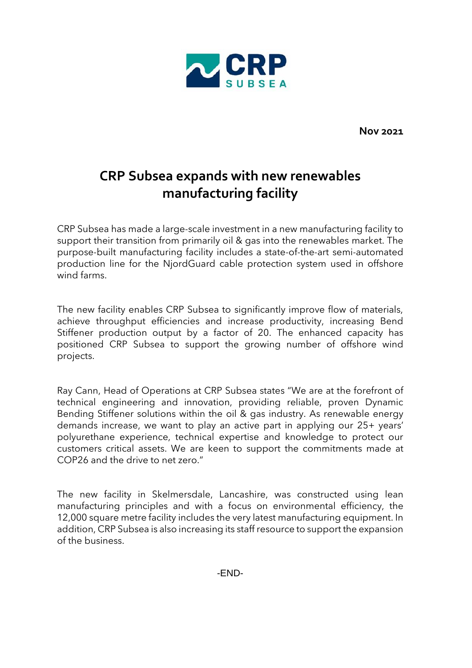

**Nov 2021**

## **CRP Subsea expands with new renewables manufacturing facility**

CRP Subsea has made a large-scale investment in a new manufacturing facility to support their transition from primarily oil & gas into the renewables market. The purpose-built manufacturing facility includes a state-of-the-art semi-automated production line for the NjordGuard cable protection system used in offshore wind farms.

The new facility enables CRP Subsea to significantly improve flow of materials, achieve throughput efficiencies and increase productivity, increasing Bend Stiffener production output by a factor of 20. The enhanced capacity has positioned CRP Subsea to support the growing number of offshore wind projects.

Ray Cann, Head of Operations at CRP Subsea states "We are at the forefront of technical engineering and innovation, providing reliable, proven Dynamic Bending Stiffener solutions within the oil & gas industry. As renewable energy demands increase, we want to play an active part in applying our 25+ years' polyurethane experience, technical expertise and knowledge to protect our customers critical assets. We are keen to support the commitments made at COP26 and the drive to net zero."

The new facility in Skelmersdale, Lancashire, was constructed using lean manufacturing principles and with a focus on environmental efficiency, the 12,000 square metre facility includes the very latest manufacturing equipment. In addition, CRP Subsea is also increasing its staff resource to support the expansion of the business.

-END-